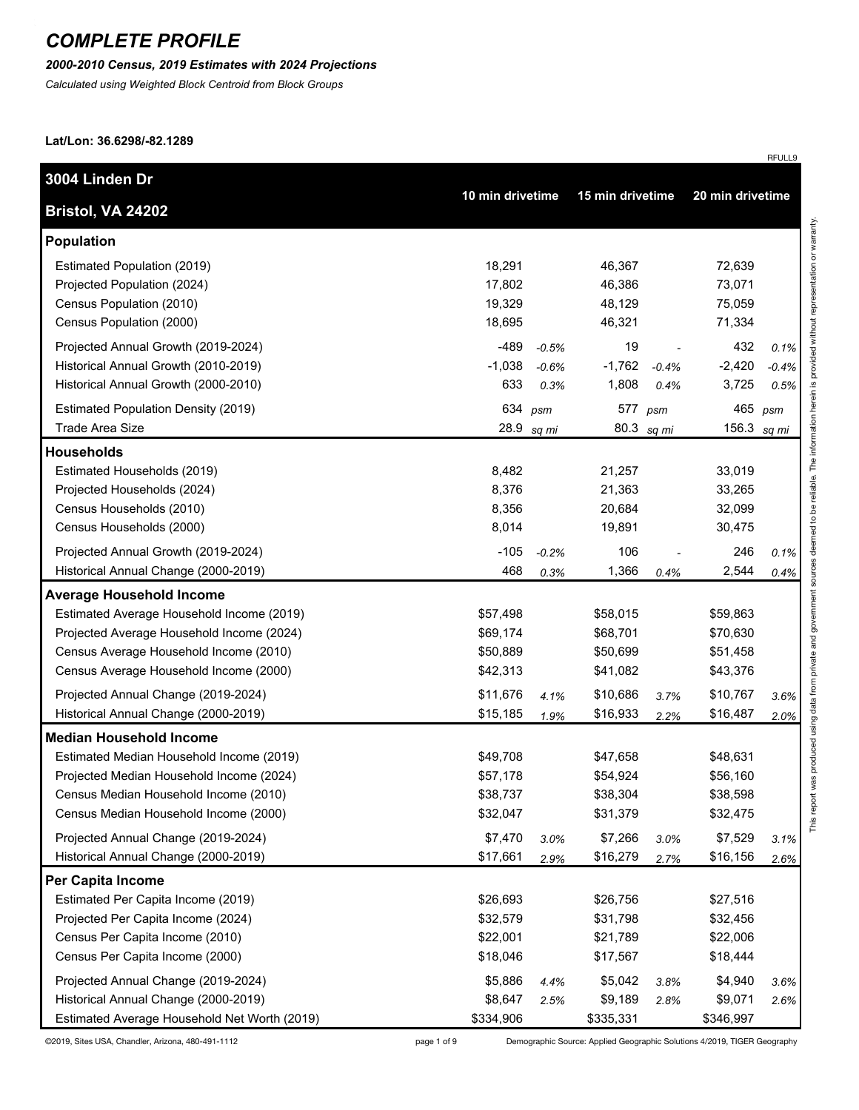#### *2000-2010 Census, 2019 Estimates with 2024 Projections*

*Calculated using Weighted Block Centroid from Block Groups*

**Lat/Lon: 36.6298/-82.1289**

| 3004 Linden Dr                               | 10 min drivetime |            | 15 min drivetime |            |                  |         |
|----------------------------------------------|------------------|------------|------------------|------------|------------------|---------|
| Bristol, VA 24202                            |                  |            |                  |            | 20 min drivetime |         |
| <b>Population</b>                            |                  |            |                  |            |                  |         |
| Estimated Population (2019)                  | 18,291           |            | 46,367           |            | 72,639           |         |
| Projected Population (2024)                  | 17,802           |            | 46,386           |            | 73,071           |         |
| Census Population (2010)                     | 19,329           |            | 48,129           |            | 75,059           |         |
| Census Population (2000)                     | 18,695           |            | 46,321           |            | 71,334           |         |
| Projected Annual Growth (2019-2024)          | -489             | $-0.5%$    | 19               |            | 432              | 0.1%    |
| Historical Annual Growth (2010-2019)         | $-1,038$         | $-0.6%$    | $-1,762$         | $-0.4%$    | $-2,420$         | $-0.4%$ |
| Historical Annual Growth (2000-2010)         | 633              | 0.3%       | 1,808            | 0.4%       | 3,725            | 0.5%    |
| Estimated Population Density (2019)          | 634              | psm        | 577              | psm        | 465              | psm     |
| Trade Area Size                              |                  | 28.9 sq mi |                  | 80.3 sq mi | 156.3            | sq mi   |
| <b>Households</b>                            |                  |            |                  |            |                  |         |
| Estimated Households (2019)                  | 8,482            |            | 21,257           |            | 33,019           |         |
| Projected Households (2024)                  | 8,376            |            | 21,363           |            | 33,265           |         |
| Census Households (2010)                     | 8,356            |            | 20,684           |            | 32,099           |         |
| Census Households (2000)                     | 8,014            |            | 19,891           |            | 30,475           |         |
| Projected Annual Growth (2019-2024)          | $-105$           | $-0.2%$    | 106              |            | 246              | 0.1%    |
| Historical Annual Change (2000-2019)         | 468              | 0.3%       | 1,366            | 0.4%       | 2,544            | 0.4%    |
| <b>Average Household Income</b>              |                  |            |                  |            |                  |         |
| Estimated Average Household Income (2019)    | \$57,498         |            | \$58,015         |            | \$59,863         |         |
| Projected Average Household Income (2024)    | \$69,174         |            | \$68,701         |            | \$70,630         |         |
| Census Average Household Income (2010)       | \$50,889         |            | \$50,699         |            | \$51,458         |         |
| Census Average Household Income (2000)       | \$42,313         |            | \$41,082         |            | \$43,376         |         |
| Projected Annual Change (2019-2024)          | \$11,676         | 4.1%       | \$10,686         | 3.7%       | \$10,767         | 3.6%    |
| Historical Annual Change (2000-2019)         | \$15,185         | 1.9%       | \$16,933         | 2.2%       | \$16,487         | 2.0%    |
| <b>Median Household Income</b>               |                  |            |                  |            |                  |         |
| Estimated Median Household Income (2019)     | \$49,708         |            | \$47,658         |            | \$48,631         |         |
| Projected Median Household Income (2024)     | \$57,178         |            | \$54,924         |            | \$56,160         |         |
| Census Median Household Income (2010)        | \$38,737         |            | \$38,304         |            | \$38,598         |         |
| Census Median Household Income (2000)        | \$32,047         |            | \$31,379         |            | \$32,475         |         |
| Projected Annual Change (2019-2024)          | \$7,470          | 3.0%       | \$7,266          | 3.0%       | \$7,529          | 3.1%    |
| Historical Annual Change (2000-2019)         | \$17,661         | 2.9%       | \$16,279         | 2.7%       | \$16,156         | 2.6%    |
| Per Capita Income                            |                  |            |                  |            |                  |         |
| Estimated Per Capita Income (2019)           | \$26,693         |            | \$26,756         |            | \$27,516         |         |
| Projected Per Capita Income (2024)           | \$32,579         |            | \$31,798         |            | \$32,456         |         |
| Census Per Capita Income (2010)              | \$22,001         |            | \$21,789         |            | \$22,006         |         |
| Census Per Capita Income (2000)              | \$18,046         |            | \$17,567         |            | \$18,444         |         |
| Projected Annual Change (2019-2024)          | \$5,886          | 4.4%       | \$5,042          | 3.8%       | \$4,940          | 3.6%    |
| Historical Annual Change (2000-2019)         | \$8,647          | 2.5%       | \$9,189          | 2.8%       | \$9,071          | 2.6%    |
| Estimated Average Household Net Worth (2019) | \$334,906        |            | \$335,331        |            | \$346,997        |         |

©2019, Sites USA, Chandler, Arizona, 480-491-1112 page 1 of 9 Demographic Source: Applied Geographic Solutions 4/2019, TIGER Geography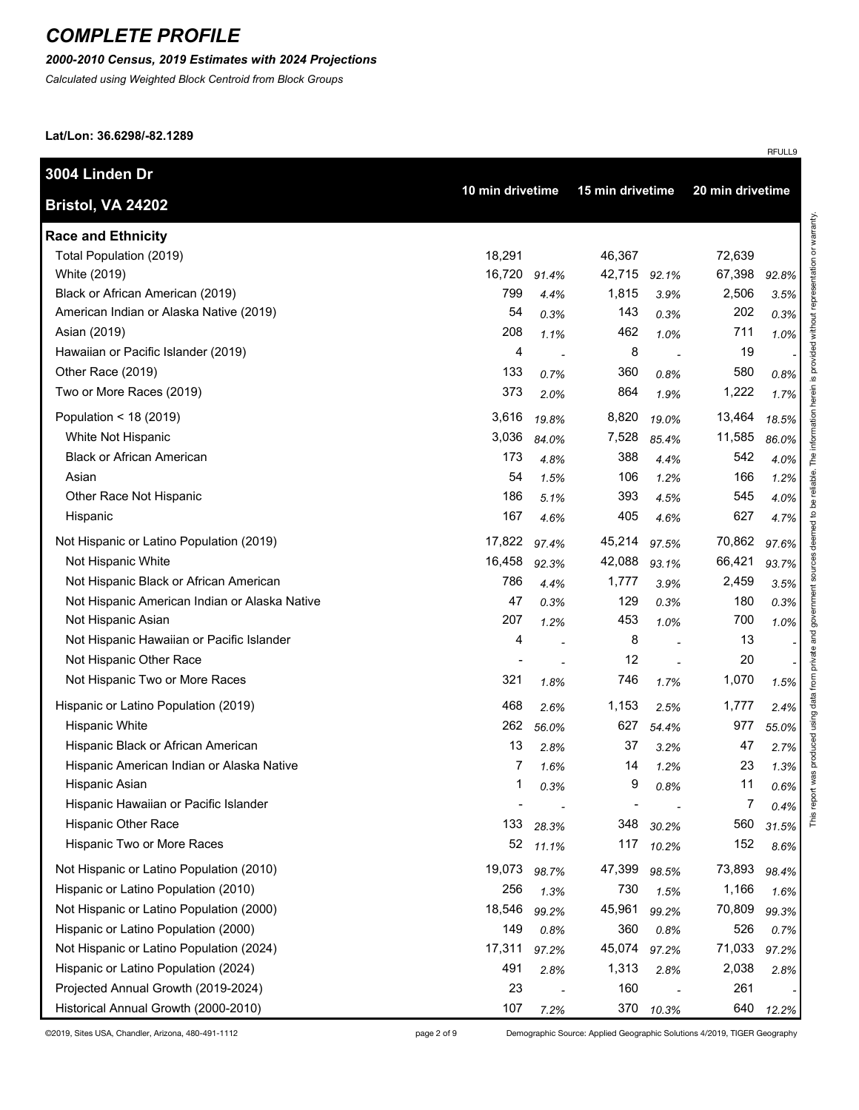### *2000-2010 Census, 2019 Estimates with 2024 Projections*

*Calculated using Weighted Block Centroid from Block Groups*

**Lat/Lon: 36.6298/-82.1289**

| 3004 Linden Dr                                |                  |       | 15 min drivetime |       |                  |       |
|-----------------------------------------------|------------------|-------|------------------|-------|------------------|-------|
| Bristol, VA 24202                             | 10 min drivetime |       |                  |       | 20 min drivetime |       |
| <b>Race and Ethnicity</b>                     |                  |       |                  |       |                  |       |
| Total Population (2019)                       | 18,291           |       | 46,367           |       | 72,639           |       |
| White (2019)                                  | 16,720           | 91.4% | 42,715           | 92.1% | 67,398           | 92.8% |
| Black or African American (2019)              | 799              | 4.4%  | 1,815            | 3.9%  | 2,506            | 3.5%  |
| American Indian or Alaska Native (2019)       | 54               | 0.3%  | 143              | 0.3%  | 202              | 0.3%  |
| Asian (2019)                                  | 208              | 1.1%  | 462              | 1.0%  | 711              | 1.0%  |
| Hawaiian or Pacific Islander (2019)           | 4                |       | 8                |       | 19               |       |
| Other Race (2019)                             | 133              | 0.7%  | 360              | 0.8%  | 580              | 0.8%  |
| Two or More Races (2019)                      | 373              | 2.0%  | 864              | 1.9%  | 1,222            | 1.7%  |
| Population < $18(2019)$                       | 3,616            | 19.8% | 8,820            | 19.0% | 13,464           | 18.5% |
| White Not Hispanic                            | 3,036            | 84.0% | 7,528            | 85.4% | 11,585           | 86.0% |
| <b>Black or African American</b>              | 173              | 4.8%  | 388              | 4.4%  | 542              | 4.0%  |
| Asian                                         | 54               | 1.5%  | 106              | 1.2%  | 166              | 1.2%  |
| Other Race Not Hispanic                       | 186              | 5.1%  | 393              | 4.5%  | 545              | 4.0%  |
| Hispanic                                      | 167              | 4.6%  | 405              | 4.6%  | 627              | 4.7%  |
| Not Hispanic or Latino Population (2019)      | 17,822           | 97.4% | 45,214           | 97.5% | 70,862           | 97.6% |
| Not Hispanic White                            | 16,458           | 92.3% | 42,088           | 93.1% | 66,421           | 93.7% |
| Not Hispanic Black or African American        | 786              | 4.4%  | 1,777            | 3.9%  | 2,459            | 3.5%  |
| Not Hispanic American Indian or Alaska Native | 47               | 0.3%  | 129              | 0.3%  | 180              | 0.3%  |
| Not Hispanic Asian                            | 207              | 1.2%  | 453              | 1.0%  | 700              | 1.0%  |
| Not Hispanic Hawaiian or Pacific Islander     | 4                |       | 8                |       | 13               |       |
| Not Hispanic Other Race                       |                  |       | 12               |       | 20               |       |
| Not Hispanic Two or More Races                | 321              | 1.8%  | 746              | 1.7%  | 1,070            | 1.5%  |
| Hispanic or Latino Population (2019)          | 468              | 2.6%  | 1,153            | 2.5%  | 1,777            | 2.4%  |
| Hispanic White                                | 262              | 56.0% | 627              | 54.4% | 977              | 55.0% |
| Hispanic Black or African American            | 13               | 2.8%  | 37               | 3.2%  | 47               | 2.7%  |
| Hispanic American Indian or Alaska Native     | 7                | 1.6%  | 14               | 1.2%  | 23               | 1.3%  |
| Hispanic Asian                                | 1                | 0.3%  | 9                | 0.8%  | 11               | 0.6%  |
| Hispanic Hawaiian or Pacific Islander         |                  |       |                  |       | 7                | 0.4%  |
| <b>Hispanic Other Race</b>                    | 133              | 28.3% | 348              | 30.2% | 560              | 31.5% |
| Hispanic Two or More Races                    | 52               | 11.1% | 117              | 10.2% | 152              | 8.6%  |
| Not Hispanic or Latino Population (2010)      | 19,073           | 98.7% | 47,399           | 98.5% | 73,893           | 98.4% |
| Hispanic or Latino Population (2010)          | 256              | 1.3%  | 730              | 1.5%  | 1,166            | 1.6%  |
| Not Hispanic or Latino Population (2000)      | 18,546           | 99.2% | 45,961           | 99.2% | 70,809           | 99.3% |
| Hispanic or Latino Population (2000)          | 149              | 0.8%  | 360              | 0.8%  | 526              | 0.7%  |
| Not Hispanic or Latino Population (2024)      | 17,311           | 97.2% | 45,074           | 97.2% | 71,033           | 97.2% |
| Hispanic or Latino Population (2024)          | 491              | 2.8%  | 1,313            | 2.8%  | 2,038            | 2.8%  |
| Projected Annual Growth (2019-2024)           | 23               |       | 160              |       | 261              |       |
| Historical Annual Growth (2000-2010)          | 107              | 7.2%  | 370              | 10.3% | 640              | 12.2% |

©2019, Sites USA, Chandler, Arizona, 480-491-1112 page 2 of 9 Demographic Source: Applied Geographic Solutions 4/2019, TIGER Geography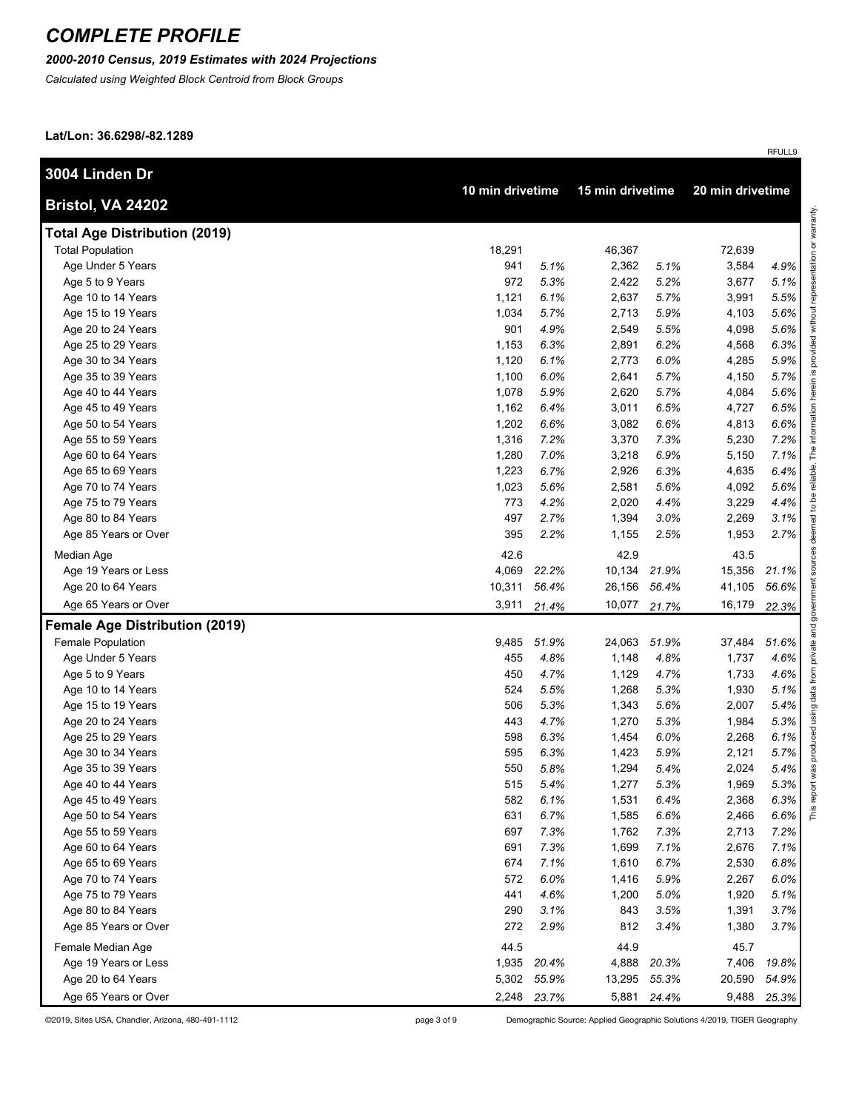#### *2000-2010 Census, 2019 Estimates with 2024 Projections*

*Calculated using Weighted Block Centroid from Block Groups*

**Lat/Lon: 36.6298/-82.1289**

| 3004 Linden Dr                        |                  |             |                  |             |                  |       |
|---------------------------------------|------------------|-------------|------------------|-------------|------------------|-------|
| Bristol, VA 24202                     | 10 min drivetime |             | 15 min drivetime |             | 20 min drivetime |       |
| <b>Total Age Distribution (2019)</b>  |                  |             |                  |             |                  |       |
| <b>Total Population</b>               | 18,291           |             | 46,367           |             | 72,639           |       |
| Age Under 5 Years                     | 941              | 5.1%        | 2,362            | 5.1%        | 3,584            | 4.9%  |
| Age 5 to 9 Years                      | 972              | 5.3%        | 2,422            | 5.2%        | 3,677            | 5.1%  |
| Age 10 to 14 Years                    | 1,121            | 6.1%        | 2,637            | 5.7%        | 3,991            | 5.5%  |
| Age 15 to 19 Years                    | 1,034            | 5.7%        | 2,713            | 5.9%        | 4,103            | 5.6%  |
| Age 20 to 24 Years                    | 901              | 4.9%        | 2,549            | 5.5%        | 4,098            | 5.6%  |
| Age 25 to 29 Years                    | 1,153            | 6.3%        | 2,891            | 6.2%        | 4,568            | 6.3%  |
| Age 30 to 34 Years                    | 1,120            | 6.1%        | 2,773            | 6.0%        | 4,285            | 5.9%  |
| Age 35 to 39 Years                    | 1,100            | 6.0%        | 2,641            | 5.7%        | 4,150            | 5.7%  |
| Age 40 to 44 Years                    | 1,078            | 5.9%        | 2,620            | 5.7%        | 4,084            | 5.6%  |
| Age 45 to 49 Years                    | 1,162            | 6.4%        | 3,011            | 6.5%        | 4,727            | 6.5%  |
| Age 50 to 54 Years                    | 1,202            | 6.6%        | 3,082            | 6.6%        | 4,813            | 6.6%  |
| Age 55 to 59 Years                    | 1,316            | 7.2%        | 3,370            | 7.3%        | 5,230            | 7.2%  |
| Age 60 to 64 Years                    | 1,280            | 7.0%        | 3,218            | 6.9%        | 5,150            | 7.1%  |
| Age 65 to 69 Years                    | 1,223            | 6.7%        | 2,926            | 6.3%        | 4,635            | 6.4%  |
| Age 70 to 74 Years                    | 1,023            | 5.6%        | 2,581            | 5.6%        | 4,092            | 5.6%  |
| Age 75 to 79 Years                    | 773              | 4.2%        | 2,020            | 4.4%        | 3,229            | 4.4%  |
| Age 80 to 84 Years                    | 497              | 2.7%        | 1,394            | 3.0%        | 2,269            | 3.1%  |
| Age 85 Years or Over                  | 395              | 2.2%        | 1,155            | 2.5%        | 1,953            | 2.7%  |
| Median Age                            | 42.6             |             | 42.9             |             | 43.5             |       |
| Age 19 Years or Less                  | 4,069            | 22.2%       | 10,134           | 21.9%       | 15,356           | 21.1% |
| Age 20 to 64 Years                    | 10,311           | 56.4%       | 26,156           | 56.4%       | 41,105           | 56.6% |
| Age 65 Years or Over                  | 3,911            | 21.4%       | 10,077           | 21.7%       | 16,179           | 22.3% |
| <b>Female Age Distribution (2019)</b> |                  |             |                  |             |                  |       |
| Female Population                     | 9,485            | 51.9%       | 24,063           | 51.9%       | 37,484           | 51.6% |
| Age Under 5 Years                     | 455              | 4.8%        | 1,148            | 4.8%        | 1,737            | 4.6%  |
| Age 5 to 9 Years                      | 450              | 4.7%        | 1,129            | 4.7%        | 1,733            | 4.6%  |
| Age 10 to 14 Years                    | 524              | 5.5%        | 1,268            | 5.3%        | 1,930            | 5.1%  |
| Age 15 to 19 Years                    | 506              | 5.3%        | 1,343            | 5.6%        | 2,007            | 5.4%  |
| Age 20 to 24 Years                    | 443              | 4.7%        | 1,270            | 5.3%        | 1,984            | 5.3%  |
| Age 25 to 29 Years                    | 598              | 6.3%        | 1,454            | 6.0%        | 2,268            | 6.1%  |
| Age 30 to 34 Years                    | 595              | 6.3%        | 1,423            | 5.9%        | 2,121            | 5.7%  |
| Age 35 to 39 Years                    | 550              | 5.8%        | 1,294            | 5.4%        | 2,024            | 5.4%  |
| Age 40 to 44 Years                    | 515              | 5.4%        | 1,277            | 5.3%        | 1,969            | 5.3%  |
| Age 45 to 49 Years                    | 582              | 6.1%        | 1,531            | 6.4%        | 2,368            | 6.3%  |
| Age 50 to 54 Years                    | 631              | 6.7%        | 1,585            | 6.6%        | 2,466            | 6.6%  |
| Age 55 to 59 Years                    | 697              | 7.3%        | 1,762            | 7.3%        | 2,713            | 7.2%  |
| Age 60 to 64 Years                    | 691              | 7.3%        | 1,699            | 7.1%        | 2,676            | 7.1%  |
| Age 65 to 69 Years                    | 674              | 7.1%        | 1,610            | 6.7%        | 2,530            | 6.8%  |
| Age 70 to 74 Years                    | 572              | 6.0%        | 1,416            | 5.9%        | 2,267            | 6.0%  |
| Age 75 to 79 Years                    | 441              | 4.6%        | 1,200            | 5.0%        | 1,920            | 5.1%  |
| Age 80 to 84 Years                    | 290              | 3.1%        | 843              | 3.5%        | 1,391            | 3.7%  |
| Age 85 Years or Over                  | 272              | 2.9%        | 812              | 3.4%        | 1,380            | 3.7%  |
| Female Median Age                     | 44.5             |             | 44.9             |             | 45.7             |       |
| Age 19 Years or Less                  | 1,935            | 20.4%       | 4,888            | 20.3%       | 7,406            | 19.8% |
| Age 20 to 64 Years                    | 5,302            | 55.9%       | 13,295           | 55.3%       | 20,590           | 54.9% |
| Age 65 Years or Over                  |                  | 2,248 23.7% |                  | 5,881 24.4% | 9,488            | 25.3% |

©2019, Sites USA, Chandler, Arizona, 480-491-1112 page 3 of 9 Demographic Source: Applied Geographic Solutions 4/2019, TIGER Geography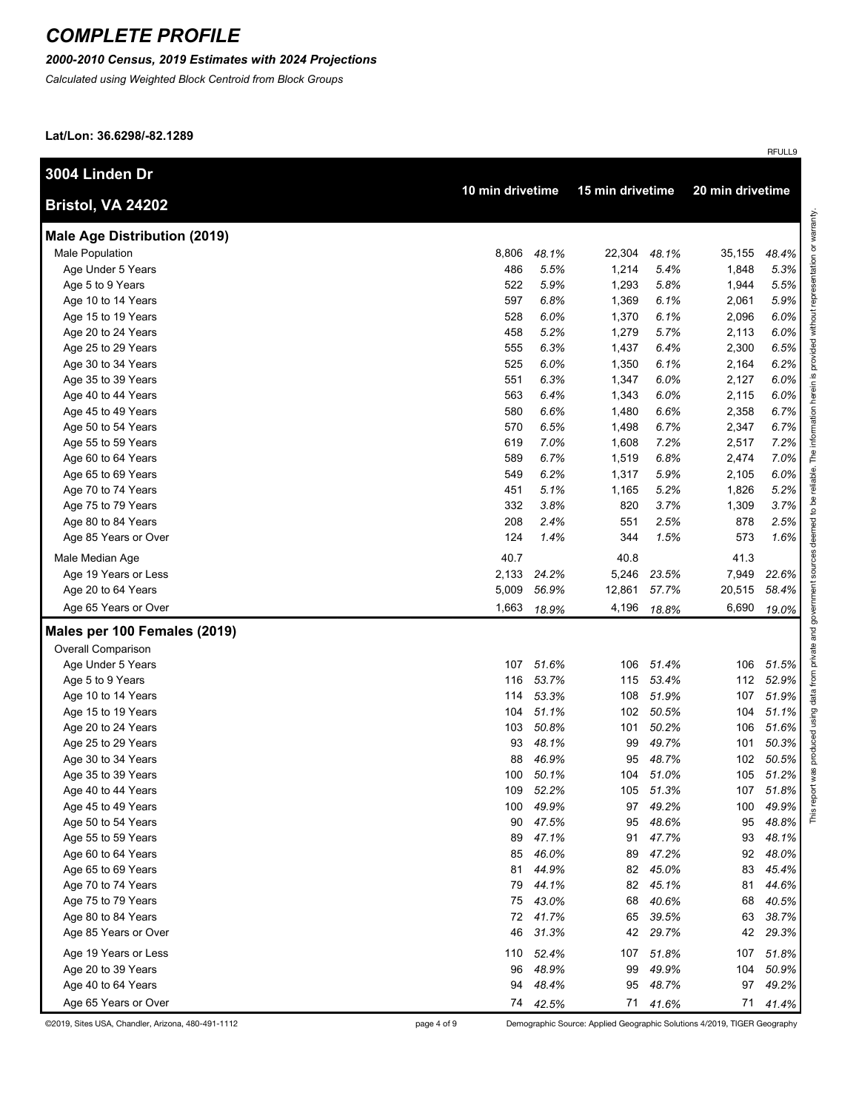#### *2000-2010 Census, 2019 Estimates with 2024 Projections*

*Calculated using Weighted Block Centroid from Block Groups*

**Lat/Lon: 36.6298/-82.1289**

| 3004 Linden Dr                      |                  |          |                  |           |                  |           |
|-------------------------------------|------------------|----------|------------------|-----------|------------------|-----------|
| Bristol, VA 24202                   | 10 min drivetime |          | 15 min drivetime |           | 20 min drivetime |           |
| <b>Male Age Distribution (2019)</b> |                  |          |                  |           |                  |           |
| Male Population                     | 8.806            | 48.1%    | 22,304           | 48.1%     | 35,155           | 48.4%     |
| Age Under 5 Years                   | 486              | 5.5%     | 1,214            | 5.4%      | 1,848            | 5.3%      |
| Age 5 to 9 Years                    | 522              | 5.9%     | 1,293            | 5.8%      | 1,944            | 5.5%      |
| Age 10 to 14 Years                  | 597              | 6.8%     | 1,369            | 6.1%      | 2,061            | 5.9%      |
| Age 15 to 19 Years                  | 528              | 6.0%     | 1,370            | 6.1%      | 2,096            | 6.0%      |
| Age 20 to 24 Years                  | 458              | 5.2%     | 1,279            | 5.7%      | 2,113            | 6.0%      |
| Age 25 to 29 Years                  | 555              | 6.3%     | 1,437            | 6.4%      | 2,300            | 6.5%      |
| Age 30 to 34 Years                  | 525              | 6.0%     | 1,350            | 6.1%      | 2,164            | 6.2%      |
| Age 35 to 39 Years                  | 551              | 6.3%     | 1,347            | 6.0%      | 2,127            | 6.0%      |
| Age 40 to 44 Years                  | 563              | 6.4%     | 1,343            | 6.0%      | 2,115            | 6.0%      |
| Age 45 to 49 Years                  | 580              | 6.6%     | 1,480            | 6.6%      | 2,358            | 6.7%      |
| Age 50 to 54 Years                  | 570              | 6.5%     | 1,498            | 6.7%      | 2,347            | 6.7%      |
| Age 55 to 59 Years                  | 619              | 7.0%     | 1,608            | 7.2%      | 2,517            | 7.2%      |
| Age 60 to 64 Years                  | 589              | 6.7%     | 1,519            | 6.8%      | 2,474            | 7.0%      |
| Age 65 to 69 Years                  | 549              | 6.2%     | 1,317            | 5.9%      | 2,105            | 6.0%      |
| Age 70 to 74 Years                  | 451              | 5.1%     | 1,165            | 5.2%      | 1,826            | 5.2%      |
| Age 75 to 79 Years                  | 332              | 3.8%     | 820              | 3.7%      | 1,309            | 3.7%      |
| Age 80 to 84 Years                  | 208              | 2.4%     | 551              | 2.5%      | 878              | 2.5%      |
| Age 85 Years or Over                | 124              | 1.4%     | 344              | 1.5%      | 573              | 1.6%      |
| Male Median Age                     | 40.7             |          | 40.8             |           | 41.3             |           |
| Age 19 Years or Less                | 2,133            | 24.2%    | 5,246            | 23.5%     | 7,949            | 22.6%     |
| Age 20 to 64 Years                  | 5,009            | 56.9%    | 12,861           | 57.7%     | 20,515           | 58.4%     |
| Age 65 Years or Over                | 1,663            | 18.9%    | 4,196            | 18.8%     | 6,690            | 19.0%     |
| Males per 100 Females (2019)        |                  |          |                  |           |                  |           |
| <b>Overall Comparison</b>           |                  |          |                  |           |                  |           |
| Age Under 5 Years                   | 107              | 51.6%    | 106              | 51.4%     | 106              | 51.5%     |
| Age 5 to 9 Years                    | 116              | 53.7%    | 115              | 53.4%     | 112              | 52.9%     |
| Age 10 to 14 Years                  | 114              | 53.3%    | 108              | 51.9%     | 107              | 51.9%     |
| Age 15 to 19 Years                  | 104              | 51.1%    | 102              | 50.5%     | 104              | 51.1%     |
| Age 20 to 24 Years                  | 103              | 50.8%    | 101              | 50.2%     | 106              | 51.6%     |
| Age 25 to 29 Years                  | 93               | 48.1%    | 99               | 49.7%     | 101              | 50.3%     |
| Age 30 to 34 Years                  | 88               | 46.9%    | 95               | 48.7%     | 102              | 50.5%     |
| Age 35 to 39 Years                  | 100              | 50.1%    | 104              | 51.0%     | 105              | 51.2%     |
| Age 40 to 44 Years                  | 109              | 52.2%    |                  | 105 51.3% |                  | 107 51.8% |
| Age 45 to 49 Years                  | 100              | 49.9%    | 97               | 49.2%     | 100              | 49.9%     |
| Age 50 to 54 Years                  | 90               | 47.5%    | 95               | 48.6%     | 95               | 48.8%     |
| Age 55 to 59 Years                  | 89               | 47.1%    | 91               | 47.7%     | 93               | 48.1%     |
| Age 60 to 64 Years                  | 85               | 46.0%    | 89               | 47.2%     | 92               | 48.0%     |
| Age 65 to 69 Years                  | 81               | 44.9%    | 82               | 45.0%     | 83               | 45.4%     |
| Age 70 to 74 Years                  | 79               | 44.1%    | 82               | 45.1%     | 81               | 44.6%     |
| Age 75 to 79 Years                  | 75               | 43.0%    | 68               | 40.6%     | 68               | 40.5%     |
| Age 80 to 84 Years                  | 72               | 41.7%    | 65               | 39.5%     | 63               | 38.7%     |
| Age 85 Years or Over                | 46               | 31.3%    | 42               | 29.7%     | 42               | 29.3%     |
| Age 19 Years or Less                | 110              | 52.4%    | 107              | 51.8%     | 107              | 51.8%     |
| Age 20 to 39 Years                  | 96               | 48.9%    | 99               | 49.9%     | 104              | 50.9%     |
| Age 40 to 64 Years                  | 94               | 48.4%    | 95               | 48.7%     | 97               | 49.2%     |
| Age 65 Years or Over                |                  | 74 42.5% | 71               | 41.6%     | 71               | 41.4%     |

©2019, Sites USA, Chandler, Arizona, 480-491-1112 page 4 of 9 Demographic Source: Applied Geographic Solutions 4/2019, TIGER Geography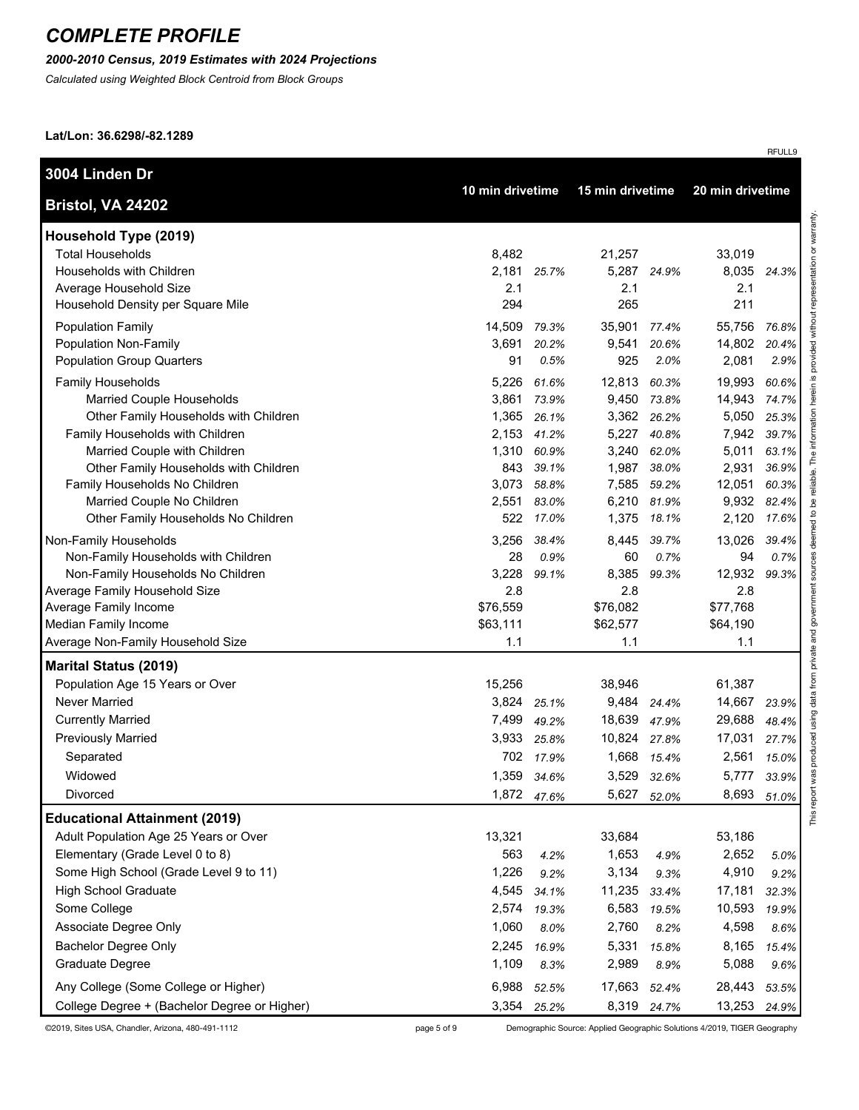### *2000-2010 Census, 2019 Estimates with 2024 Projections*

*Calculated using Weighted Block Centroid from Block Groups*

**Lat/Lon: 36.6298/-82.1289**

|          |                                                                                                                                                                                      |                                                                                                                                                                                                                                                                             |                                                                                                                                                                      |                                                                                                                                                                                                                                                                                                                 | 24.3%                                                                                                                                                                                                                                                                                            |
|----------|--------------------------------------------------------------------------------------------------------------------------------------------------------------------------------------|-----------------------------------------------------------------------------------------------------------------------------------------------------------------------------------------------------------------------------------------------------------------------------|----------------------------------------------------------------------------------------------------------------------------------------------------------------------|-----------------------------------------------------------------------------------------------------------------------------------------------------------------------------------------------------------------------------------------------------------------------------------------------------------------|--------------------------------------------------------------------------------------------------------------------------------------------------------------------------------------------------------------------------------------------------------------------------------------------------|
| 294      |                                                                                                                                                                                      | 265                                                                                                                                                                                                                                                                         |                                                                                                                                                                      | 211                                                                                                                                                                                                                                                                                                             |                                                                                                                                                                                                                                                                                                  |
| 14,509   | 79.3%                                                                                                                                                                                | 35,901                                                                                                                                                                                                                                                                      | 77.4%                                                                                                                                                                | 55,756                                                                                                                                                                                                                                                                                                          | 76.8%                                                                                                                                                                                                                                                                                            |
| 3,691    | 20.2%                                                                                                                                                                                | 9,541                                                                                                                                                                                                                                                                       | 20.6%                                                                                                                                                                | 14,802                                                                                                                                                                                                                                                                                                          | 20.4%                                                                                                                                                                                                                                                                                            |
| 91       | 0.5%                                                                                                                                                                                 | 925                                                                                                                                                                                                                                                                         | 2.0%                                                                                                                                                                 | 2,081                                                                                                                                                                                                                                                                                                           | 2.9%                                                                                                                                                                                                                                                                                             |
| 5,226    | 61.6%                                                                                                                                                                                | 12,813                                                                                                                                                                                                                                                                      | 60.3%                                                                                                                                                                | 19,993                                                                                                                                                                                                                                                                                                          | 60.6%                                                                                                                                                                                                                                                                                            |
| 3,861    | 73.9%                                                                                                                                                                                |                                                                                                                                                                                                                                                                             |                                                                                                                                                                      | 14,943                                                                                                                                                                                                                                                                                                          | 74.7%                                                                                                                                                                                                                                                                                            |
|          | 26.1%                                                                                                                                                                                |                                                                                                                                                                                                                                                                             |                                                                                                                                                                      |                                                                                                                                                                                                                                                                                                                 | 25.3%                                                                                                                                                                                                                                                                                            |
|          |                                                                                                                                                                                      |                                                                                                                                                                                                                                                                             |                                                                                                                                                                      |                                                                                                                                                                                                                                                                                                                 | 39.7%                                                                                                                                                                                                                                                                                            |
|          |                                                                                                                                                                                      |                                                                                                                                                                                                                                                                             |                                                                                                                                                                      |                                                                                                                                                                                                                                                                                                                 | 63.1%                                                                                                                                                                                                                                                                                            |
|          |                                                                                                                                                                                      |                                                                                                                                                                                                                                                                             |                                                                                                                                                                      |                                                                                                                                                                                                                                                                                                                 | 36.9%<br>60.3%                                                                                                                                                                                                                                                                                   |
|          |                                                                                                                                                                                      |                                                                                                                                                                                                                                                                             |                                                                                                                                                                      |                                                                                                                                                                                                                                                                                                                 | 82.4%                                                                                                                                                                                                                                                                                            |
| 522      | 17.0%                                                                                                                                                                                | 1,375                                                                                                                                                                                                                                                                       | 18.1%                                                                                                                                                                | 2,120                                                                                                                                                                                                                                                                                                           | 17.6%                                                                                                                                                                                                                                                                                            |
|          | 38.4%                                                                                                                                                                                | 8,445                                                                                                                                                                                                                                                                       | 39.7%                                                                                                                                                                |                                                                                                                                                                                                                                                                                                                 | 39.4%                                                                                                                                                                                                                                                                                            |
| 28       | 0.9%                                                                                                                                                                                 | 60                                                                                                                                                                                                                                                                          | 0.7%                                                                                                                                                                 | 94                                                                                                                                                                                                                                                                                                              | 0.7%                                                                                                                                                                                                                                                                                             |
| 3,228    | 99.1%                                                                                                                                                                                | 8,385                                                                                                                                                                                                                                                                       | 99.3%                                                                                                                                                                | 12,932                                                                                                                                                                                                                                                                                                          | 99.3%                                                                                                                                                                                                                                                                                            |
| 2.8      |                                                                                                                                                                                      | 2.8                                                                                                                                                                                                                                                                         |                                                                                                                                                                      | 2.8                                                                                                                                                                                                                                                                                                             |                                                                                                                                                                                                                                                                                                  |
| \$76,559 |                                                                                                                                                                                      | \$76,082                                                                                                                                                                                                                                                                    |                                                                                                                                                                      | \$77,768                                                                                                                                                                                                                                                                                                        |                                                                                                                                                                                                                                                                                                  |
|          |                                                                                                                                                                                      |                                                                                                                                                                                                                                                                             |                                                                                                                                                                      |                                                                                                                                                                                                                                                                                                                 |                                                                                                                                                                                                                                                                                                  |
|          |                                                                                                                                                                                      |                                                                                                                                                                                                                                                                             |                                                                                                                                                                      |                                                                                                                                                                                                                                                                                                                 |                                                                                                                                                                                                                                                                                                  |
|          |                                                                                                                                                                                      |                                                                                                                                                                                                                                                                             |                                                                                                                                                                      |                                                                                                                                                                                                                                                                                                                 |                                                                                                                                                                                                                                                                                                  |
|          |                                                                                                                                                                                      |                                                                                                                                                                                                                                                                             |                                                                                                                                                                      |                                                                                                                                                                                                                                                                                                                 |                                                                                                                                                                                                                                                                                                  |
|          |                                                                                                                                                                                      |                                                                                                                                                                                                                                                                             |                                                                                                                                                                      |                                                                                                                                                                                                                                                                                                                 | 23.9%                                                                                                                                                                                                                                                                                            |
|          |                                                                                                                                                                                      |                                                                                                                                                                                                                                                                             |                                                                                                                                                                      |                                                                                                                                                                                                                                                                                                                 | 48.4%                                                                                                                                                                                                                                                                                            |
|          |                                                                                                                                                                                      |                                                                                                                                                                                                                                                                             |                                                                                                                                                                      |                                                                                                                                                                                                                                                                                                                 | 27.7%                                                                                                                                                                                                                                                                                            |
|          |                                                                                                                                                                                      |                                                                                                                                                                                                                                                                             |                                                                                                                                                                      |                                                                                                                                                                                                                                                                                                                 | 15.0%                                                                                                                                                                                                                                                                                            |
|          |                                                                                                                                                                                      |                                                                                                                                                                                                                                                                             |                                                                                                                                                                      |                                                                                                                                                                                                                                                                                                                 | 33.9%                                                                                                                                                                                                                                                                                            |
|          |                                                                                                                                                                                      |                                                                                                                                                                                                                                                                             |                                                                                                                                                                      |                                                                                                                                                                                                                                                                                                                 | 51.0%                                                                                                                                                                                                                                                                                            |
|          |                                                                                                                                                                                      |                                                                                                                                                                                                                                                                             |                                                                                                                                                                      |                                                                                                                                                                                                                                                                                                                 |                                                                                                                                                                                                                                                                                                  |
|          |                                                                                                                                                                                      |                                                                                                                                                                                                                                                                             |                                                                                                                                                                      |                                                                                                                                                                                                                                                                                                                 | 5.0%                                                                                                                                                                                                                                                                                             |
|          |                                                                                                                                                                                      |                                                                                                                                                                                                                                                                             |                                                                                                                                                                      |                                                                                                                                                                                                                                                                                                                 | 9.2%                                                                                                                                                                                                                                                                                             |
|          |                                                                                                                                                                                      |                                                                                                                                                                                                                                                                             |                                                                                                                                                                      |                                                                                                                                                                                                                                                                                                                 | 32.3%                                                                                                                                                                                                                                                                                            |
|          |                                                                                                                                                                                      |                                                                                                                                                                                                                                                                             |                                                                                                                                                                      |                                                                                                                                                                                                                                                                                                                 | 19.9%                                                                                                                                                                                                                                                                                            |
|          |                                                                                                                                                                                      |                                                                                                                                                                                                                                                                             |                                                                                                                                                                      |                                                                                                                                                                                                                                                                                                                 | 8.6%                                                                                                                                                                                                                                                                                             |
|          |                                                                                                                                                                                      |                                                                                                                                                                                                                                                                             |                                                                                                                                                                      |                                                                                                                                                                                                                                                                                                                 | 15.4%                                                                                                                                                                                                                                                                                            |
|          |                                                                                                                                                                                      |                                                                                                                                                                                                                                                                             |                                                                                                                                                                      |                                                                                                                                                                                                                                                                                                                 | 9.6%                                                                                                                                                                                                                                                                                             |
|          |                                                                                                                                                                                      |                                                                                                                                                                                                                                                                             |                                                                                                                                                                      |                                                                                                                                                                                                                                                                                                                 | 53.5%                                                                                                                                                                                                                                                                                            |
|          |                                                                                                                                                                                      |                                                                                                                                                                                                                                                                             |                                                                                                                                                                      |                                                                                                                                                                                                                                                                                                                 | 24.9%                                                                                                                                                                                                                                                                                            |
|          | 8,482<br>2.1<br>1,365<br>2,153<br>843<br>3,073<br>2,551<br>3,256<br>\$63,111<br>1.1<br>15,256<br>3,824<br>7,499<br>702<br>13,321<br>563<br>1,226<br>1,060<br>2,245<br>1,109<br>6,988 | 10 min drivetime<br>2,181<br>25.7%<br>41.2%<br>1,310<br>60.9%<br>39.1%<br>58.8%<br>83.0%<br>25.1%<br>49.2%<br>3,933<br>25.8%<br>17.9%<br>1,359 34.6%<br>1,872<br>47.6%<br>4.2%<br>9.2%<br>4,545<br>34.1%<br>2,574<br>19.3%<br>8.0%<br>16.9%<br>8.3%<br>52.5%<br>3,354 25.2% | 21,257<br>2.1<br>\$62,577<br>1.1<br>38,946<br>9,484<br>18,639<br>10,824<br>5,627<br>33,684<br>1,653<br>3,134<br>11,235<br>6,583<br>2,760<br>5,331<br>2,989<br>17,663 | 15 min drivetime<br>5,287<br>24.9%<br>9,450 73.8%<br>3,362 26.2%<br>5,227<br>40.8%<br>3,240 62.0%<br>1,987<br>38.0%<br>7,585<br>59.2%<br>6,210<br>81.9%<br>24.4%<br>47.9%<br>27.8%<br>1,668<br>15.4%<br>3,529 32.6%<br>52.0%<br>4.9%<br>9.3%<br>33.4%<br>19.5%<br>8.2%<br>15.8%<br>8.9%<br>52.4%<br>8,319 24.7% | 20 min drivetime<br>33,019<br>8,035<br>2.1<br>5,050<br>7,942<br>5,011<br>2,931<br>12,051<br>9,932<br>13,026<br>\$64,190<br>1.1<br>61,387<br>14,667<br>29,688<br>17,031<br>2,561<br>5,777<br>8,693<br>53,186<br>2,652<br>4,910<br>17,181<br>10,593<br>4,598<br>8,165<br>5,088<br>28,443<br>13,253 |

©2019, Sites USA, Chandler, Arizona, 480-491-1112 page 5 of 9 Demographic Source: Applied Geographic Solutions 4/2019, TIGER Geography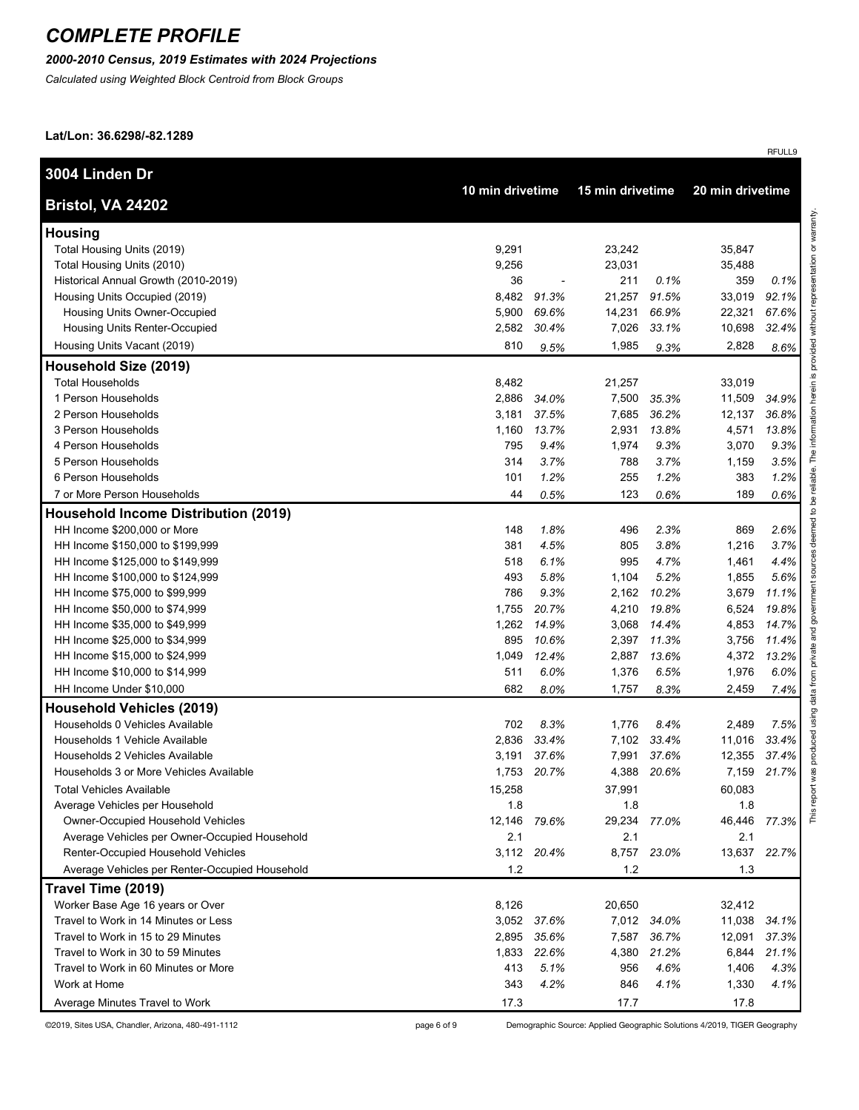### *2000-2010 Census, 2019 Estimates with 2024 Projections*

*Calculated using Weighted Block Centroid from Block Groups*

**Lat/Lon: 36.6298/-82.1289**

| 3004 Linden Dr                                 |                  |             |                  |                  |        |       |
|------------------------------------------------|------------------|-------------|------------------|------------------|--------|-------|
| Bristol, VA 24202                              | 10 min drivetime |             | 15 min drivetime | 20 min drivetime |        |       |
| <b>Housing</b>                                 |                  |             |                  |                  |        |       |
| Total Housing Units (2019)                     | 9,291            |             | 23,242           |                  | 35,847 |       |
| Total Housing Units (2010)                     | 9,256            |             | 23,031           |                  | 35,488 |       |
| Historical Annual Growth (2010-2019)           | 36               |             | 211              | 0.1%             | 359    | 0.1%  |
| Housing Units Occupied (2019)                  | 8,482            | 91.3%       | 21,257           | 91.5%            | 33,019 | 92.1% |
| <b>Housing Units Owner-Occupied</b>            | 5,900            | 69.6%       | 14,231           | 66.9%            | 22,321 | 67.6% |
| Housing Units Renter-Occupied                  | 2,582            | 30.4%       | 7,026            | 33.1%            | 10,698 | 32.4% |
| Housing Units Vacant (2019)                    | 810              | 9.5%        | 1,985            | 9.3%             | 2,828  | 8.6%  |
| Household Size (2019)                          |                  |             |                  |                  |        |       |
| <b>Total Households</b>                        | 8,482            |             | 21,257           |                  | 33,019 |       |
| 1 Person Households                            | 2,886            | 34.0%       | 7,500            | 35.3%            | 11,509 | 34.9% |
| 2 Person Households                            | 3,181            | 37.5%       | 7,685            | 36.2%            | 12,137 | 36.8% |
| 3 Person Households                            | 1,160            | 13.7%       | 2,931            | 13.8%            | 4,571  | 13.8% |
| 4 Person Households                            | 795              | 9.4%        | 1,974            | 9.3%             | 3,070  | 9.3%  |
| 5 Person Households                            | 314              | 3.7%        | 788              | 3.7%             | 1,159  | 3.5%  |
| 6 Person Households                            | 101              | 1.2%        | 255              | 1.2%             | 383    | 1.2%  |
| 7 or More Person Households                    | 44               | 0.5%        | 123              | 0.6%             | 189    | 0.6%  |
| <b>Household Income Distribution (2019)</b>    |                  |             |                  |                  |        |       |
| HH Income \$200,000 or More                    | 148              | 1.8%        | 496              | 2.3%             | 869    | 2.6%  |
| HH Income \$150,000 to \$199,999               | 381              | 4.5%        | 805              | 3.8%             | 1,216  | 3.7%  |
| HH Income \$125,000 to \$149,999               | 518              | 6.1%        | 995              | 4.7%             | 1,461  | 4.4%  |
| HH Income \$100,000 to \$124,999               | 493              | 5.8%        | 1,104            | 5.2%             | 1,855  | 5.6%  |
| HH Income \$75,000 to \$99,999                 | 786              | 9.3%        | 2,162            | 10.2%            | 3,679  | 11.1% |
| HH Income \$50,000 to \$74,999                 | 1,755            | 20.7%       | 4,210            | 19.8%            | 6,524  | 19.8% |
| HH Income \$35,000 to \$49,999                 | 1,262            | 14.9%       | 3,068            | 14.4%            | 4,853  | 14.7% |
| HH Income \$25,000 to \$34,999                 | 895              | 10.6%       | 2,397            | 11.3%            | 3,756  | 11.4% |
| HH Income \$15,000 to \$24,999                 | 1,049            | 12.4%       | 2,887            | 13.6%            | 4,372  | 13.2% |
| HH Income \$10,000 to \$14,999                 | 511              | 6.0%        | 1,376            | 6.5%             | 1,976  | 6.0%  |
| HH Income Under \$10,000                       | 682              | 8.0%        | 1,757            | 8.3%             | 2,459  | 7.4%  |
| <b>Household Vehicles (2019)</b>               |                  |             |                  |                  |        |       |
| Households 0 Vehicles Available                | 702              | 8.3%        | 1,776            | 8.4%             | 2,489  | 7.5%  |
| Households 1 Vehicle Available                 | 2,836            | 33.4%       | 7,102            | 33.4%            | 11,016 | 33.4% |
| Households 2 Vehicles Available                | 3,191            | 37.6%       | 7,991            | 37.6%            | 12,355 | 37.4% |
| Households 3 or More Vehicles Available        |                  | 1,753 20.7% | 4,388            | 20.6%            | 7,159  | 21.7% |
| <b>Total Vehicles Available</b>                | 15,258           |             | 37,991           |                  | 60,083 |       |
| Average Vehicles per Household                 | 1.8              |             | 1.8              |                  | 1.8    |       |
| <b>Owner-Occupied Household Vehicles</b>       | 12,146 79.6%     |             | 29,234 77.0%     |                  | 46,446 | 77.3% |
| Average Vehicles per Owner-Occupied Household  | 2.1              |             | 2.1              |                  | 2.1    |       |
| Renter-Occupied Household Vehicles             |                  | 3,112 20.4% | 8,757            | 23.0%            | 13,637 | 22.7% |
| Average Vehicles per Renter-Occupied Household | 1.2              |             | 1.2              |                  | 1.3    |       |
| Travel Time (2019)                             |                  |             |                  |                  |        |       |
| Worker Base Age 16 years or Over               | 8,126            |             | 20,650           |                  | 32,412 |       |
| Travel to Work in 14 Minutes or Less           |                  | 3,052 37.6% |                  | 7,012 34.0%      | 11,038 | 34.1% |
| Travel to Work in 15 to 29 Minutes             |                  | 2,895 35.6% |                  | 7,587 36.7%      | 12,091 | 37.3% |
| Travel to Work in 30 to 59 Minutes             | 1,833            | 22.6%       | 4,380            | 21.2%            | 6,844  | 21.1% |
| Travel to Work in 60 Minutes or More           | 413              | 5.1%        | 956              | 4.6%             | 1,406  | 4.3%  |
| Work at Home                                   | 343              | 4.2%        | 846              | 4.1%             | 1,330  | 4.1%  |
| Average Minutes Travel to Work                 | 17.3             |             | 17.7             |                  | 17.8   |       |

©2019, Sites USA, Chandler, Arizona, 480-491-1112 page 6 of 9 Demographic Source: Applied Geographic Solutions 4/2019, TIGER Geography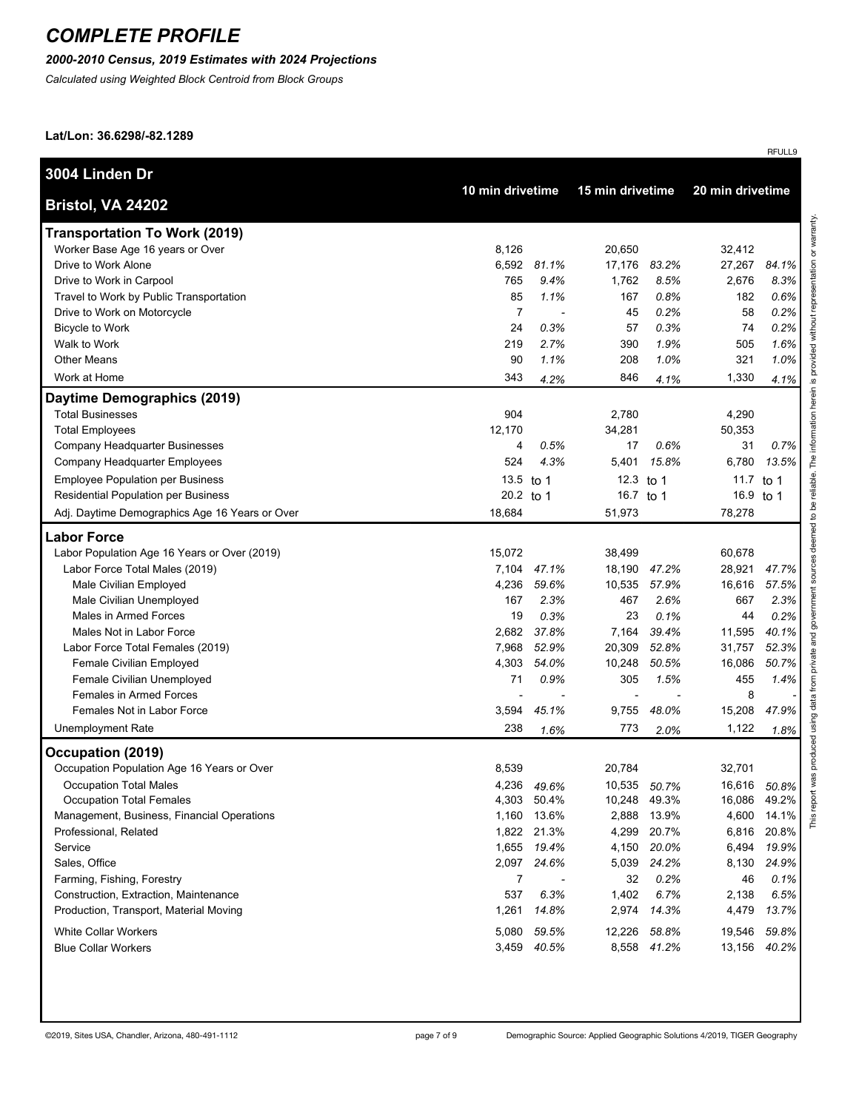### *2000-2010 Census, 2019 Estimates with 2024 Projections*

*Calculated using Weighted Block Centroid from Block Groups*

**Lat/Lon: 36.6298/-82.1289**

| 3004 Linden Dr                                 | 10 min drivetime |             |              | 15 min drivetime |           | 20 min drivetime |  |
|------------------------------------------------|------------------|-------------|--------------|------------------|-----------|------------------|--|
| Bristol, VA 24202                              |                  |             |              |                  |           |                  |  |
| <b>Transportation To Work (2019)</b>           |                  |             |              |                  |           |                  |  |
| Worker Base Age 16 years or Over               | 8,126            |             | 20,650       |                  | 32,412    |                  |  |
| Drive to Work Alone                            |                  | 6,592 81.1% | 17,176       | 83.2%            | 27,267    | 84.1%            |  |
| Drive to Work in Carpool                       | 765              | 9.4%        | 1,762        | 8.5%             | 2,676     | 8.3%             |  |
| Travel to Work by Public Transportation        | 85               | 1.1%        | 167          | 0.8%             | 182       | 0.6%             |  |
| Drive to Work on Motorcycle                    | $\overline{7}$   | ٠           | 45           | 0.2%             | 58        | 0.2%             |  |
| <b>Bicycle to Work</b>                         | 24               | 0.3%        | 57           | 0.3%             | 74        | 0.2%             |  |
| Walk to Work                                   | 219              | 2.7%        | 390          | 1.9%             | 505       | 1.6%             |  |
| <b>Other Means</b>                             | 90               | 1.1%        | 208          | 1.0%             | 321       | 1.0%             |  |
| Work at Home                                   | 343              | 4.2%        | 846          | 4.1%             | 1,330     | 4.1%             |  |
| Daytime Demographics (2019)                    |                  |             |              |                  |           |                  |  |
| <b>Total Businesses</b>                        | 904              |             | 2,780        |                  | 4,290     |                  |  |
| <b>Total Employees</b>                         | 12,170           |             | 34,281       |                  | 50,353    |                  |  |
| Company Headquarter Businesses                 | 4                | 0.5%        | 17           | 0.6%             | 31        | 0.7%             |  |
| Company Headquarter Employees                  | 524              | 4.3%        | 5,401        | 15.8%            | 6,780     | 13.5%            |  |
| <b>Employee Population per Business</b>        | 13.5             | to 1        | 12.3 to 1    |                  | 11.7 to 1 |                  |  |
| Residential Population per Business            | 20.2 to 1        |             | 16.7 to 1    |                  | 16.9 to 1 |                  |  |
| Adj. Daytime Demographics Age 16 Years or Over | 18,684           |             | 51,973       |                  | 78,278    |                  |  |
| <b>Labor Force</b>                             |                  |             |              |                  |           |                  |  |
| Labor Population Age 16 Years or Over (2019)   | 15,072           |             | 38,499       |                  | 60,678    |                  |  |
| Labor Force Total Males (2019)                 | 7,104            | 47.1%       | 18,190       | 47.2%            | 28,921    | 47.7%            |  |
| Male Civilian Employed                         | 4,236            | 59.6%       | 10,535       | 57.9%            | 16,616    | 57.5%            |  |
| Male Civilian Unemployed                       | 167              | 2.3%        | 467          | 2.6%             | 667       | 2.3%             |  |
| Males in Armed Forces                          | 19               | 0.3%        | 23           | 0.1%             | 44        | 0.2%             |  |
| Males Not in Labor Force                       | 2,682            | 37.8%       | 7,164        | 39.4%            | 11,595    | 40.1%            |  |
| Labor Force Total Females (2019)               | 7,968            | 52.9%       | 20,309       | 52.8%            | 31,757    | 52.3%            |  |
| Female Civilian Employed                       | 4,303            | 54.0%       | 10,248       | 50.5%            | 16,086    | 50.7%            |  |
| Female Civilian Unemployed                     | 71               | 0.9%        | 305          | 1.5%             | 455       | 1.4%             |  |
| Females in Armed Forces                        |                  |             |              |                  | 8         |                  |  |
| Females Not in Labor Force                     | 3,594            | 45.1%       | 9,755        | 48.0%            | 15,208    | 47.9%            |  |
| <b>Unemployment Rate</b>                       | 238              | 1.6%        | 773          | 2.0%             | 1,122     | 1.8%             |  |
| Occupation (2019)                              |                  |             |              |                  |           |                  |  |
| Occupation Population Age 16 Years or Over     | 8,539            |             | 20,784       |                  | 32,701    |                  |  |
| <b>Occupation Total Males</b>                  | 4,236            | 49.6%       | 10,535       | 50.7%            | 16,616    | 50.8%            |  |
| <b>Occupation Total Females</b>                |                  | 4,303 50.4% | 10,248 49.3% |                  | 16,086    | 49.2%            |  |
| Management, Business, Financial Operations     |                  | 1,160 13.6% | 2,888        | 13.9%            | 4,600     | 14.1%            |  |
| Professional, Related                          |                  | 1,822 21.3% | 4,299        | 20.7%            | 6,816     | 20.8%            |  |
| Service                                        |                  | 1,655 19.4% | 4,150        | 20.0%            | 6,494     | 19.9%            |  |
| Sales, Office                                  | 2,097            | 24.6%       | 5,039        | 24.2%            | 8,130     | 24.9%            |  |
| Farming, Fishing, Forestry                     | 7                |             | 32           | 0.2%             | 46        | 0.1%             |  |
| Construction, Extraction, Maintenance          | 537              | 6.3%        | 1,402        | 6.7%             | 2,138     | 6.5%             |  |
| Production, Transport, Material Moving         | 1,261            | 14.8%       | 2,974        | 14.3%            | 4,479     | 13.7%            |  |
| <b>White Collar Workers</b>                    | 5,080            | 59.5%       | 12,226       | 58.8%            | 19,546    | 59.8%            |  |
| <b>Blue Collar Workers</b>                     | 3,459            | 40.5%       |              | 8,558 41.2%      | 13,156    | 40.2%            |  |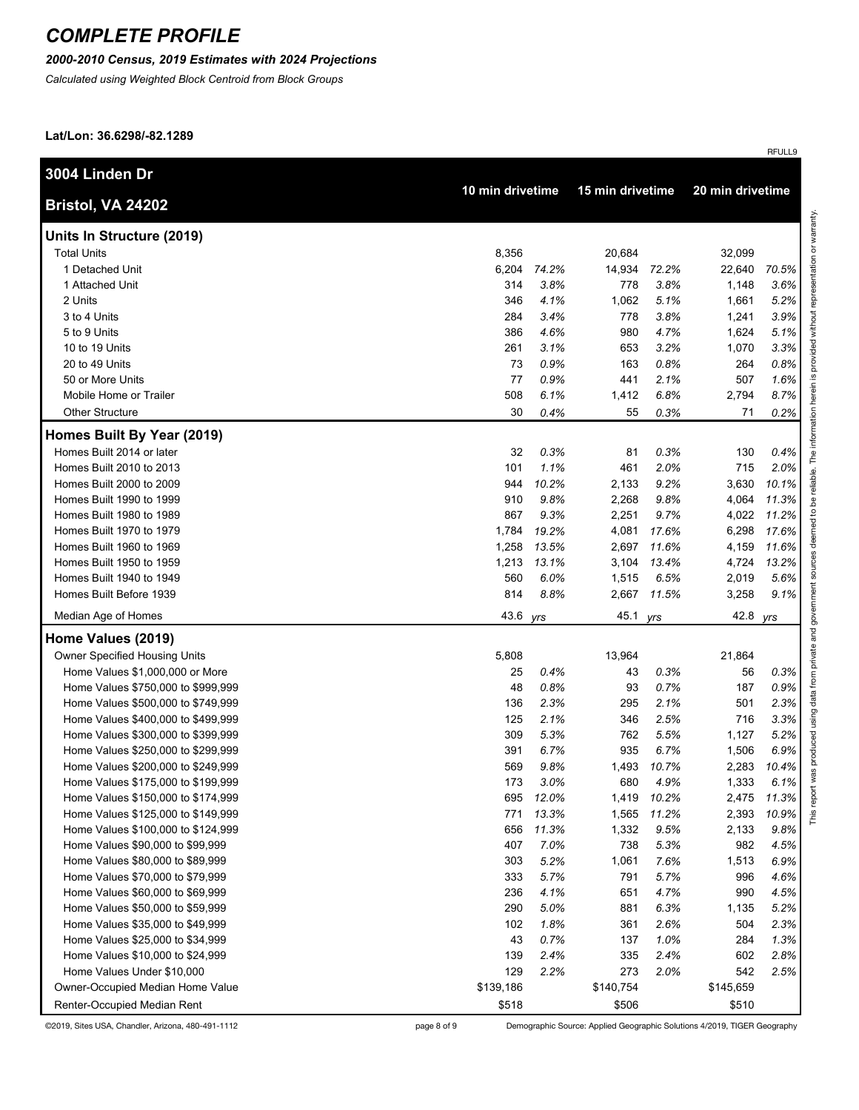#### *2000-2010 Census, 2019 Estimates with 2024 Projections*

*Calculated using Weighted Block Centroid from Block Groups*

**Lat/Lon: 36.6298/-82.1289**

| 3004 Linden Dr                     |                  |       |                  |             |                  |       |
|------------------------------------|------------------|-------|------------------|-------------|------------------|-------|
| Bristol, VA 24202                  | 10 min drivetime |       | 15 min drivetime |             | 20 min drivetime |       |
| Units In Structure (2019)          |                  |       |                  |             |                  |       |
| <b>Total Units</b>                 | 8,356            |       | 20,684           |             | 32,099           |       |
| 1 Detached Unit                    | 6,204            | 74.2% | 14,934           | 72.2%       | 22,640           | 70.5% |
| 1 Attached Unit                    | 314              | 3.8%  | 778              | 3.8%        | 1,148            | 3.6%  |
| 2 Units                            | 346              | 4.1%  | 1,062            | 5.1%        | 1,661            | 5.2%  |
| 3 to 4 Units                       | 284              | 3.4%  | 778              | 3.8%        | 1,241            | 3.9%  |
| 5 to 9 Units                       | 386              | 4.6%  | 980              | 4.7%        | 1,624            | 5.1%  |
| 10 to 19 Units                     | 261              | 3.1%  | 653              | 3.2%        | 1,070            | 3.3%  |
| 20 to 49 Units                     | 73               | 0.9%  | 163              | 0.8%        | 264              | 0.8%  |
| 50 or More Units                   | 77               | 0.9%  | 441              | 2.1%        | 507              | 1.6%  |
| Mobile Home or Trailer             | 508              | 6.1%  | 1,412            | 6.8%        | 2,794            | 8.7%  |
| <b>Other Structure</b>             | 30               | 0.4%  | 55               | 0.3%        | 71               | 0.2%  |
| Homes Built By Year (2019)         |                  |       |                  |             |                  |       |
| Homes Built 2014 or later          | 32               | 0.3%  | 81               | 0.3%        | 130              | 0.4%  |
| Homes Built 2010 to 2013           | 101              | 1.1%  | 461              | 2.0%        | 715              | 2.0%  |
| Homes Built 2000 to 2009           | 944              | 10.2% | 2,133            | 9.2%        | 3,630            | 10.1% |
| Homes Built 1990 to 1999           | 910              | 9.8%  | 2,268            | 9.8%        | 4,064            | 11.3% |
| Homes Built 1980 to 1989           | 867              | 9.3%  | 2,251            | 9.7%        | 4,022            | 11.2% |
| Homes Built 1970 to 1979           | 1,784            | 19.2% | 4,081            | 17.6%       | 6,298            | 17.6% |
| Homes Built 1960 to 1969           | 1,258            | 13.5% | 2,697            | 11.6%       | 4,159            | 11.6% |
| Homes Built 1950 to 1959           | 1,213            | 13.1% | 3,104            | 13.4%       | 4,724            | 13.2% |
| Homes Built 1940 to 1949           | 560              | 6.0%  | 1,515            | 6.5%        | 2,019            | 5.6%  |
| Homes Built Before 1939            | 814              | 8.8%  | 2,667            | 11.5%       | 3,258            | 9.1%  |
| Median Age of Homes                | 43.6             | yrs   | 45.1 yrs         |             | 42.8             | yrs   |
| Home Values (2019)                 |                  |       |                  |             |                  |       |
| Owner Specified Housing Units      | 5,808            |       | 13,964           |             | 21,864           |       |
| Home Values \$1,000,000 or More    | 25               | 0.4%  | 43               | 0.3%        | 56               | 0.3%  |
| Home Values \$750,000 to \$999,999 | 48               | 0.8%  | 93               | 0.7%        | 187              | 0.9%  |
| Home Values \$500,000 to \$749,999 | 136              | 2.3%  | 295              | 2.1%        | 501              | 2.3%  |
| Home Values \$400,000 to \$499,999 | 125              | 2.1%  | 346              | 2.5%        | 716              | 3.3%  |
| Home Values \$300,000 to \$399,999 | 309              | 5.3%  | 762              | 5.5%        | 1,127            | 5.2%  |
| Home Values \$250,000 to \$299,999 | 391              | 6.7%  | 935              | 6.7%        | 1,506            | 6.9%  |
| Home Values \$200,000 to \$249,999 | 569              | 9.8%  | 1,493            | 10.7%       | 2,283            | 10.4% |
| Home Values \$175,000 to \$199,999 | 173              | 3.0%  | 680              | 4.9%        | 1,333            | 6.1%  |
| Home Values \$150,000 to \$174,999 | 695              | 12.0% |                  | 1,419 10.2% | 2,475            | 11.3% |
| Home Values \$125,000 to \$149,999 | 771              | 13.3% | 1,565            | 11.2%       | 2,393            | 10.9% |
| Home Values \$100,000 to \$124,999 | 656              | 11.3% | 1,332            | 9.5%        | 2,133            | 9.8%  |
| Home Values \$90,000 to \$99,999   | 407              | 7.0%  | 738              | 5.3%        | 982              | 4.5%  |
| Home Values \$80,000 to \$89,999   | 303              | 5.2%  | 1,061            | 7.6%        | 1,513            | 6.9%  |
| Home Values \$70,000 to \$79,999   | 333              | 5.7%  | 791              | 5.7%        | 996              | 4.6%  |
| Home Values \$60,000 to \$69,999   | 236              | 4.1%  | 651              | 4.7%        | 990              | 4.5%  |
| Home Values \$50,000 to \$59,999   | 290              | 5.0%  | 881              | 6.3%        | 1,135            | 5.2%  |
| Home Values \$35,000 to \$49,999   | 102              | 1.8%  | 361              | 2.6%        | 504              | 2.3%  |
| Home Values \$25,000 to \$34,999   | 43               | 0.7%  | 137              | 1.0%        | 284              | 1.3%  |
| Home Values \$10,000 to \$24,999   | 139              | 2.4%  | 335              | 2.4%        | 602              | 2.8%  |
| Home Values Under \$10,000         | 129              | 2.2%  | 273              | 2.0%        | 542              | 2.5%  |
| Owner-Occupied Median Home Value   | \$139,186        |       | \$140,754        |             | \$145,659        |       |
| Renter-Occupied Median Rent        | \$518            |       | \$506            |             | \$510            |       |

©2019, Sites USA, Chandler, Arizona, 480-491-1112 page 8 of 9 Demographic Source: Applied Geographic Solutions 4/2019, TIGER Geography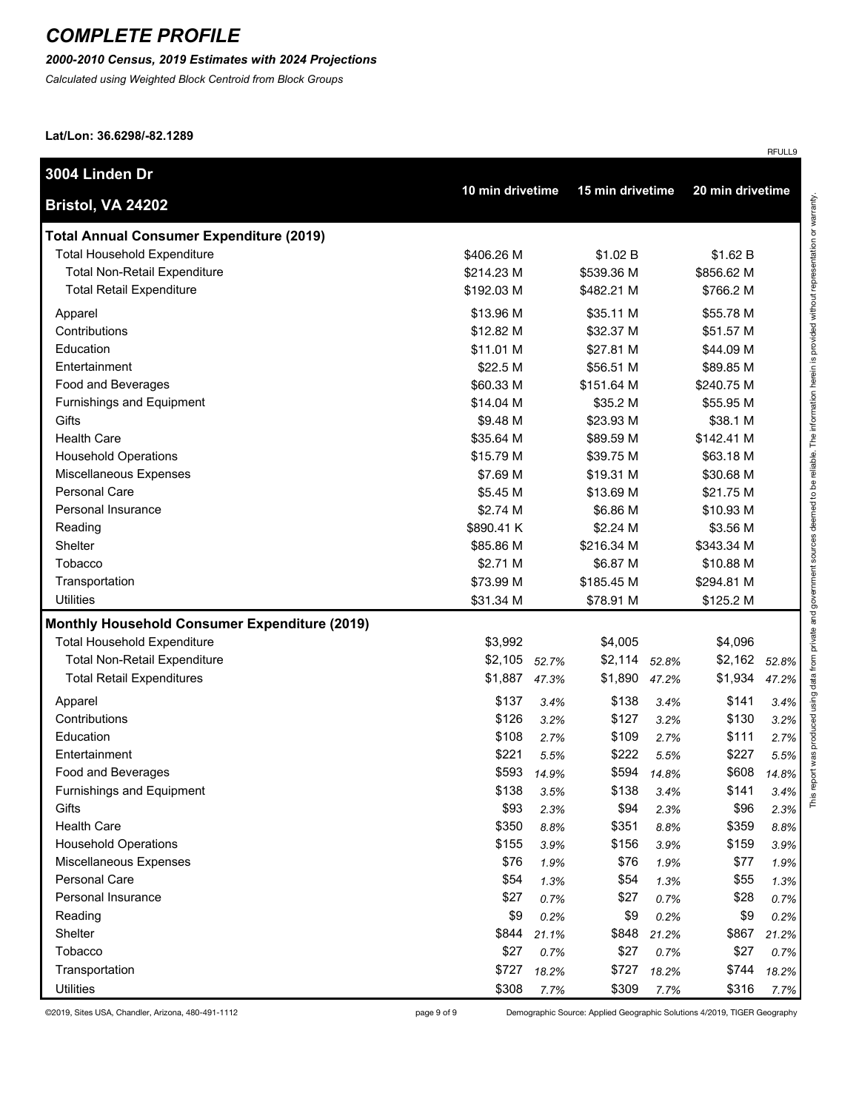#### *2000-2010 Census, 2019 Estimates with 2024 Projections*

*Calculated using Weighted Block Centroid from Block Groups*

**Lat/Lon: 36.6298/-82.1289**

| 3004 Linden Dr                                       | 10 min drivetime |             | 15 min drivetime |             | 20 min drivetime |       |
|------------------------------------------------------|------------------|-------------|------------------|-------------|------------------|-------|
| Bristol, VA 24202                                    |                  |             |                  |             |                  |       |
| <b>Total Annual Consumer Expenditure (2019)</b>      |                  |             |                  |             |                  |       |
| <b>Total Household Expenditure</b>                   | \$406.26 M       |             | \$1.02 B         |             | \$1.62 B         |       |
| <b>Total Non-Retail Expenditure</b>                  | \$214.23 M       |             | \$539.36 M       |             | \$856.62 M       |       |
| <b>Total Retail Expenditure</b>                      | \$192.03 M       |             | \$482.21 M       |             | \$766.2 M        |       |
| Apparel                                              | \$13.96 M        |             | \$35.11 M        |             | \$55.78 M        |       |
| Contributions                                        | \$12.82 M        |             | \$32.37 M        |             | \$51.57 M        |       |
| Education                                            | \$11.01 M        |             | \$27.81 M        |             | \$44.09 M        |       |
| Entertainment                                        | \$22.5 M         |             | \$56.51 M        |             | \$89.85 M        |       |
| Food and Beverages                                   | \$60.33 M        |             | \$151.64 M       |             | \$240.75 M       |       |
| Furnishings and Equipment                            | \$14.04 M        |             | \$35.2 M         |             | \$55.95 M        |       |
| Gifts                                                | \$9.48 M         |             | \$23.93 M        |             | \$38.1 M         |       |
| <b>Health Care</b>                                   | \$35.64 M        |             | \$89.59 M        |             | \$142.41 M       |       |
| <b>Household Operations</b>                          | \$15.79 M        |             | \$39.75 M        |             | \$63.18 M        |       |
| Miscellaneous Expenses                               | \$7.69 M         |             | \$19.31 M        |             | \$30.68 M        |       |
| Personal Care                                        | \$5.45 M         |             | \$13.69 M        |             | \$21.75 M        |       |
| <b>Personal Insurance</b>                            | \$2.74 M         |             | \$6.86 M         |             | \$10.93 M        |       |
| Reading                                              | \$890.41 K       |             | \$2.24 M         |             | \$3.56 M         |       |
| Shelter                                              | \$85.86 M        |             | \$216.34 M       |             | \$343.34 M       |       |
| Tobacco                                              | \$2.71 M         |             | \$6.87 M         |             | \$10.88 M        |       |
| Transportation                                       | \$73.99 M        |             | \$185.45 M       |             | \$294.81 M       |       |
| <b>Utilities</b>                                     | \$31.34 M        |             | \$78.91 M        |             | \$125.2 M        |       |
| <b>Monthly Household Consumer Expenditure (2019)</b> |                  |             |                  |             |                  |       |
| <b>Total Household Expenditure</b>                   | \$3,992          |             | \$4,005          |             | \$4,096          |       |
| <b>Total Non-Retail Expenditure</b>                  | \$2,105 52.7%    |             | \$2,114          | 52.8%       | \$2,162          | 52.8% |
| <b>Total Retail Expenditures</b>                     | \$1,887 47.3%    |             | \$1,890          | 47.2%       | \$1,934          | 47.2% |
| Apparel                                              | \$137            | 3.4%        | \$138            | 3.4%        | \$141            | 3.4%  |
| Contributions                                        | \$126            | 3.2%        | \$127            | 3.2%        | \$130            | 3.2%  |
| Education                                            | \$108            | 2.7%        | \$109            | 2.7%        | \$111            | 2.7%  |
| Entertainment                                        | \$221            | 5.5%        | \$222            | 5.5%        | \$227            | 5.5%  |
| Food and Beverages                                   |                  | \$593 14.9% |                  | \$594 14.8% | \$608            | 14.8% |
| Furnishings and Equipment                            | \$138            | 3.5%        | \$138            | 3.4%        | \$141            | 3.4%  |
| Gifts                                                | \$93             | 2.3%        | \$94             | 2.3%        | \$96             | 2.3%  |
| <b>Health Care</b>                                   | \$350            | 8.8%        | \$351            | 8.8%        | \$359            | 8.8%  |
| <b>Household Operations</b>                          | \$155            | 3.9%        | \$156            | 3.9%        | \$159            | 3.9%  |
| Miscellaneous Expenses                               | \$76             | 1.9%        | \$76             | 1.9%        | \$77             | 1.9%  |
| Personal Care                                        | \$54             | 1.3%        | \$54             | 1.3%        | \$55             | 1.3%  |
| Personal Insurance                                   | \$27             | 0.7%        | \$27             | 0.7%        | \$28             | 0.7%  |
| Reading                                              | \$9              | 0.2%        | \$9              | 0.2%        | \$9              | 0.2%  |
| Shelter                                              | \$844            | 21.1%       | \$848            | 21.2%       | \$867            | 21.2% |
| Tobacco                                              | \$27             | 0.7%        | \$27             | 0.7%        | \$27             | 0.7%  |
| Transportation                                       | \$727            | 18.2%       | \$727            | 18.2%       | \$744            | 18.2% |
| <b>Utilities</b>                                     | \$308            | 7.7%        | \$309            | 7.7%        | \$316            | 7.7%  |

©2019, Sites USA, Chandler, Arizona, 480-491-1112 page 9 of 9 Demographic Source: Applied Geographic Solutions 4/2019, TIGER Geography